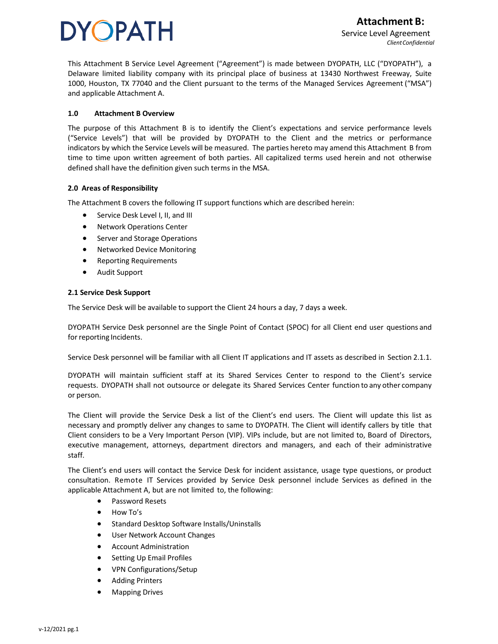This Attachment B Service Level Agreement ("Agreement") is made between DYOPATH, LLC ("DYOPATH"), a Delaware limited liability company with its principal place of business at 13430 Northwest Freeway, [Suite](https://dyopath.com/wp-content/uploads/2021/04/DYOPATH-MSA-Managed-Services_v3.2020-2.pdf) 1000, Houston, TX 77040 and the Client pursuant to the terms of the Managed Services [Agreement](https://dyopath.com/wp-content/uploads/2021/04/DYOPATH-MSA-Managed-Services_v3.2020-2.pdf) ("MSA") [and applicable Attachment A.](https://dyopath.com/wp-content/uploads/2021/04/DYOPATH-MSA-Managed-Services_v3.2020-2.pdf)

### **1.0 Attachment B Overview**

The purpose of this Attachment B is to identify the Client's expectations and service performance levels ("Service Levels") that will be provided by DYOPATH to the Client and the metrics or performance indicators by which the Service Levels will be measured. The parties hereto may amend this Attachment B from time to time upon written agreement of both parties. All capitalized terms used herein and not otherwise defined shall have the definition given such terms in the MSA.

### **2.0 Areas of Responsibility**

The Attachment B covers the following IT support functions which are described herein:

- Service Desk Level I, II, and III
- Network Operations Center
- Server and Storage Operations
- Networked Device Monitoring
- Reporting Requirements
- Audit Support

### **2.1 Service Desk Support**

The Service Desk will be available to support the Client 24 hours a day, 7 days a week.

DYOPATH Service Desk personnel are the Single Point of Contact (SPOC) for all Client end user questions and for reporting Incidents.

Service Desk personnel will be familiar with all Client IT applications and IT assets as described in Section 2.1.1.

DYOPATH will maintain sufficient staff at its Shared Services Center to respond to the Client's service requests. DYOPATH shall not outsource or delegate its Shared Services Center function to any other company or person.

The Client will provide the Service Desk a list of the Client's end users. The Client will update this list as necessary and promptly deliver any changes to same to DYOPATH. The Client will identify callers by title that Client considers to be a Very Important Person (VIP). VIPs include, but are not limited to, Board of Directors, executive management, attorneys, department directors and managers, and each of their administrative staff.

The Client's end users will contact the Service Desk for incident assistance, usage type questions, or product consultation. Remote IT Services provided by Service Desk personnel include Services as defined in the applicable Attachment A, but are not limited to, the following:

- Password Resets
- How To's
- Standard Desktop Software Installs/Uninstalls
- User Network Account Changes
- Account Administration
- Setting Up Email Profiles
- VPN Configurations/Setup
- Adding Printers
- Mapping Drives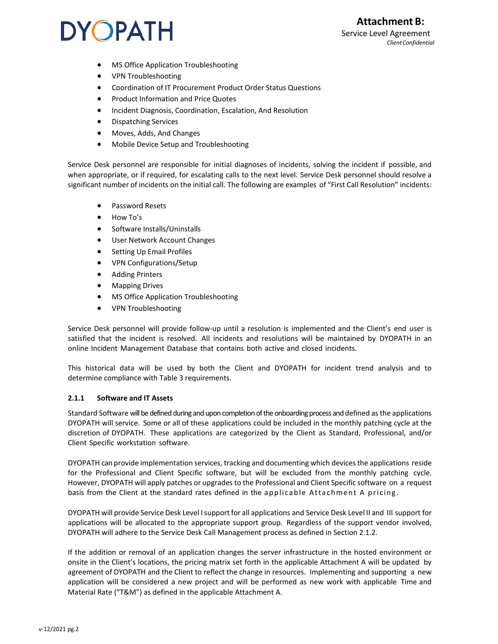### **Attachment B:** Service Level Agreement *ClientConfidential*

### **DYOPATH**

- MS Office Application Troubleshooting
- VPN Troubleshooting
- Coordination of IT Procurement Product Order Status Questions
- Product Information and Price Quotes
- Incident Diagnosis, Coordination, Escalation, And Resolution
- Dispatching Services
- Moves, Adds, And Changes
- Mobile Device Setup and Troubleshooting

Service Desk personnel are responsible for initial diagnoses of incidents, solving the incident if possible, and when appropriate, or if required, for escalating calls to the next level. Service Desk personnel should resolve a significant number of incidents on the initial call. The following are examples of "First Call Resolution" incidents:

- Password Resets
- How To's
- Software Installs/Uninstalls
- User Network Account Changes
- Setting Up Email Profiles
- VPN Configurations/Setup
- Adding Printers
- Mapping Drives
- MS Office Application Troubleshooting
- VPN Troubleshooting

Service Desk personnel will provide follow-up until a resolution is implemented and the Client's end user is satisfied that the incident is resolved. All incidents and resolutions will be maintained by DYOPATH in an online Incident Management Database that contains both active and closed incidents.

This historical data will be used by both the Client and DYOPATH for incident trend analysis and to determine compliance with Table 3 requirements.

### **2.1.1 Software and IT Assets**

Standard Software will be defined during and upon completion of the onboarding process and defined as the applications DYOPATH will service. Some or all of these applications could be included in the monthly patching cycle at the discretion of DYOPATH. These applications are categorized by the Client as Standard, Professional, and/or Client Specific workstation software.

DYOPATH can provide implementation services, tracking and documenting which devicesthe applications reside for the Professional and Client Specific software, but will be excluded from the monthly patching cycle. However, DYOPATH will apply patches or upgrades to the Professional and Client Specific software on a request basis from the Client at the standard rates defined in the applicable Attachment A pricing.

DYOPATH will provide Service Desk Level Isupport for all applications and Service Desk Level II and III support for applications will be allocated to the appropriate support group. Regardless of the support vendor involved, DYOPATH will adhere to the Service Desk Call Management process as defined in Section 2.1.2.

If the addition or removal of an application changes the server infrastructure in the hosted environment or onsite in the Client's locations, the pricing matrix set forth in the applicable Attachment A will be updated by agreement of DYOPATH and the Client to reflect the change in resources. Implementing and supporting a new application will be considered a new project and will be performed as new work with applicable Time and Material Rate ("T&M") as defined in the applicable Attachment A.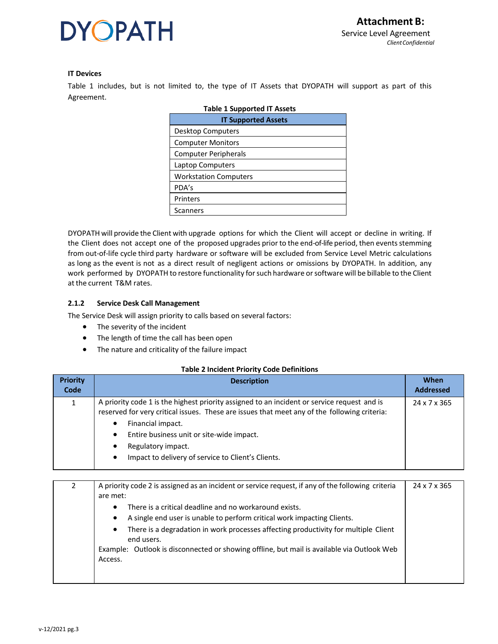### **IT Devices**

Table 1 includes, but is not limited to, the type of IT Assets that DYOPATH will support as part of this Agreement.

| <b>Table 1 Supported IT Assets</b> |  |  |
|------------------------------------|--|--|
| <b>IT Supported Assets</b>         |  |  |
| Desktop Computers                  |  |  |
| <b>Computer Monitors</b>           |  |  |
| <b>Computer Peripherals</b>        |  |  |
| Laptop Computers                   |  |  |
| <b>Workstation Computers</b>       |  |  |
| PDA's                              |  |  |
| Printers                           |  |  |
| Scanners                           |  |  |

DYOPATH will provide the Client with upgrade options for which the Client will accept or decline in writing. If the Client does not accept one of the proposed upgrades prior to the end-of-life period, then events stemming from out-of-life cycle third party hardware or software will be excluded from Service Level Metric calculations as long as the event is not as a direct result of negligent actions or omissions by DYOPATH. In addition, any work performed by DYOPATH to restore functionality forsuch hardware orsoftware will be billable to the Client at the current T&M rates.

### **2.1.2 Service Desk Call Management**

The Service Desk will assign priority to calls based on several factors:

- The severity of the incident
- The length of time the call has been open
- The nature and criticality of the failure impact

#### **Table 2 Incident Priority Code Definitions**

| <b>Priority</b><br>Code | <b>Description</b>                                                                                                                                                                                                                                                                                                                                       | <b>When</b><br><b>Addressed</b> |
|-------------------------|----------------------------------------------------------------------------------------------------------------------------------------------------------------------------------------------------------------------------------------------------------------------------------------------------------------------------------------------------------|---------------------------------|
|                         | A priority code 1 is the highest priority assigned to an incident or service request and is<br>reserved for very critical issues. These are issues that meet any of the following criteria:<br>Financial impact.<br>٠<br>Entire business unit or site-wide impact.<br>٠<br>Regulatory impact.<br>Impact to delivery of service to Client's Clients.<br>٠ | 24 x 7 x 365                    |

| A priority code 2 is assigned as an incident or service request, if any of the following criteria<br>are met: | 24 x 7 x 365 |
|---------------------------------------------------------------------------------------------------------------|--------------|
| There is a critical deadline and no workaround exists.                                                        |              |
| A single end user is unable to perform critical work impacting Clients.                                       |              |
| There is a degradation in work processes affecting productivity for multiple Client<br>end users.             |              |
| Example: Outlook is disconnected or showing offline, but mail is available via Outlook Web                    |              |
| Access.                                                                                                       |              |
|                                                                                                               |              |
|                                                                                                               |              |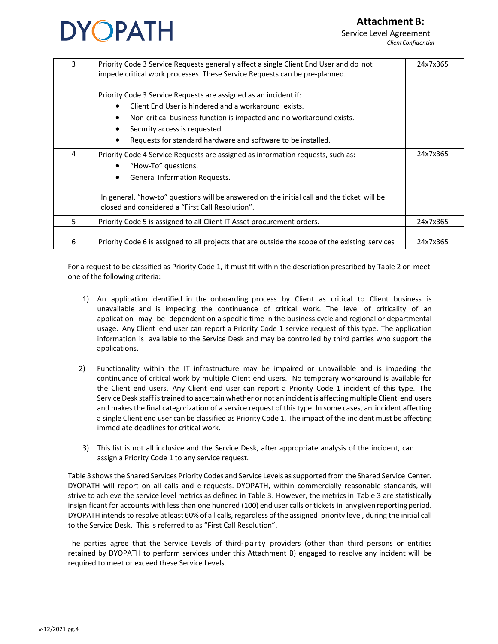### **Attachment B:**



Service Level Agreement *ClientConfidential*

| 3  | Priority Code 3 Service Requests generally affect a single Client End User and do not<br>impede critical work processes. These Service Requests can be pre-planned. | 24x7x365 |
|----|---------------------------------------------------------------------------------------------------------------------------------------------------------------------|----------|
|    | Priority Code 3 Service Requests are assigned as an incident if:                                                                                                    |          |
|    | Client End User is hindered and a workaround exists.<br>$\bullet$                                                                                                   |          |
|    | Non-critical business function is impacted and no workaround exists.                                                                                                |          |
|    | Security access is requested.                                                                                                                                       |          |
|    | Requests for standard hardware and software to be installed.                                                                                                        |          |
| 4  | Priority Code 4 Service Requests are assigned as information requests, such as:                                                                                     | 24x7x365 |
|    | "How-To" questions.<br>$\bullet$                                                                                                                                    |          |
|    | General Information Requests.<br>$\bullet$                                                                                                                          |          |
|    | In general, "how-to" questions will be answered on the initial call and the ticket will be<br>closed and considered a "First Call Resolution".                      |          |
| 5. | Priority Code 5 is assigned to all Client IT Asset procurement orders.                                                                                              | 24x7x365 |
| 6  | Priority Code 6 is assigned to all projects that are outside the scope of the existing services                                                                     | 24x7x365 |

For a request to be classified as Priority Code 1, it must fit within the description prescribed by Table 2 or meet one of the following criteria:

- 1) An application identified in the onboarding process by Client as critical to Client business is unavailable and is impeding the continuance of critical work. The level of criticality of an application may be dependent on a specific time in the business cycle and regional or departmental usage. Any Client end user can report a Priority Code 1 service request of this type. The application information is available to the Service Desk and may be controlled by third parties who support the applications.
- 2) Functionality within the IT infrastructure may be impaired or unavailable and is impeding the continuance of critical work by multiple Client end users. No temporary workaround is available for the Client end users. Any Client end user can report a Priority Code 1 incident of this type. The Service Desk staff is trained to ascertain whether or not an incident is affecting multiple Client end users and makes the final categorization of a service request of this type. In some cases, an incident affecting a single Client end user can be classified as Priority Code 1. The impact of the incident must be affecting immediate deadlines for critical work.
- 3) This list is not all inclusive and the Service Desk, after appropriate analysis of the incident, can assign a Priority Code 1 to any service request.

Table 3showsthe Shared Services Priority Codes and Service Levels assupported fromthe Shared Service Center. DYOPATH will report on all calls and e-requests. DYOPATH, within commercially reasonable standards, will strive to achieve the service level metrics as defined in Table 3. However, the metrics in Table 3 are statistically insignificant for accounts with less than one hundred (100) end user calls or tickets in any given reporting period. DYOPATH intends to resolve at least 60% of all calls, regardless of the assigned priority level, during the initial call to the Service Desk. This is referred to as "First Call Resolution".

The parties agree that the Service Levels of third-party providers (other than third persons or entities retained by DYOPATH to perform services under this Attachment B) engaged to resolve any incident will be required to meet or exceed these Service Levels.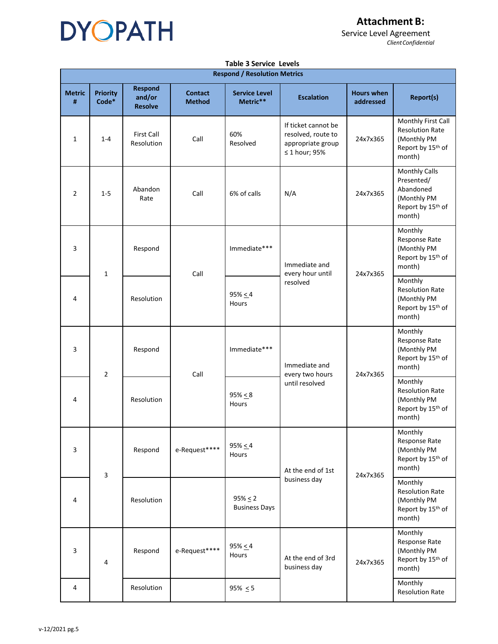

**Attachment B:**

Service Level Agreement *ClientConfidential*

|                    | <b>Table 3 Service Levels</b>       |                                            |                                 |                                      |                                                                                      |                                |                                                                                                           |
|--------------------|-------------------------------------|--------------------------------------------|---------------------------------|--------------------------------------|--------------------------------------------------------------------------------------|--------------------------------|-----------------------------------------------------------------------------------------------------------|
|                    | <b>Respond / Resolution Metrics</b> |                                            |                                 |                                      |                                                                                      |                                |                                                                                                           |
| <b>Metric</b><br># | <b>Priority</b><br>Code*            | <b>Respond</b><br>and/or<br><b>Resolve</b> | <b>Contact</b><br><b>Method</b> | <b>Service Level</b><br>Metric**     | <b>Escalation</b>                                                                    | <b>Hours when</b><br>addressed | <b>Report(s)</b>                                                                                          |
| $\mathbf{1}$       | $1 - 4$                             | <b>First Call</b><br>Resolution            | Call                            | 60%<br>Resolved                      | If ticket cannot be<br>resolved, route to<br>appropriate group<br>$\leq 1$ hour; 95% | 24x7x365                       | Monthly First Call<br><b>Resolution Rate</b><br>(Monthly PM<br>Report by 15th of<br>month)                |
| $\overline{2}$     | $1 - 5$                             | Abandon<br>Rate                            | Call                            | 6% of calls                          | N/A                                                                                  | 24x7x365                       | <b>Monthly Calls</b><br>Presented/<br>Abandoned<br>(Monthly PM<br>Report by 15 <sup>th</sup> of<br>month) |
| 3                  | 1                                   | Respond                                    | Call                            | Immediate***                         | Immediate and<br>every hour until                                                    | 24x7x365                       | Monthly<br>Response Rate<br>(Monthly PM<br>Report by 15 <sup>th</sup> of<br>month)                        |
| 4                  |                                     | Resolution                                 |                                 | $95\% \le 4$<br><b>Hours</b>         | resolved                                                                             |                                | Monthly<br><b>Resolution Rate</b><br>(Monthly PM<br>Report by 15th of<br>month)                           |
| 3                  | $\overline{2}$                      | Respond                                    | Call                            | Immediate***                         | Immediate and<br>every two hours                                                     | 24x7x365                       | Monthly<br>Response Rate<br>(Monthly PM<br>Report by 15th of<br>month)                                    |
| 4                  |                                     | Resolution                                 |                                 | $95\% \le 8$<br>Hours                | until resolved                                                                       |                                | Monthly<br><b>Resolution Rate</b><br>(Monthly PM<br>Report by 15 <sup>th</sup> of<br>month)               |
| 3                  | 3                                   | Respond                                    | e-Request****                   | $95\% \le 4$<br>Hours                | At the end of 1st<br>business day                                                    | 24x7x365                       | Monthly<br>Response Rate<br>(Monthly PM<br>Report by 15th of<br>month)                                    |
| 4                  |                                     | Resolution                                 |                                 | $95\% \le 2$<br><b>Business Days</b> |                                                                                      |                                | Monthly<br><b>Resolution Rate</b><br>(Monthly PM<br>Report by 15 <sup>th</sup> of<br>month)               |
| 3                  | 4                                   | Respond                                    | e-Request****                   | $95\% \leq 4$<br>Hours               | At the end of 3rd<br>business day                                                    | 24x7x365                       | Monthly<br>Response Rate<br>(Monthly PM<br>Report by 15 <sup>th</sup> of<br>month)                        |
| 4                  |                                     | Resolution                                 |                                 | $95\% \le 5$                         |                                                                                      |                                | Monthly<br><b>Resolution Rate</b>                                                                         |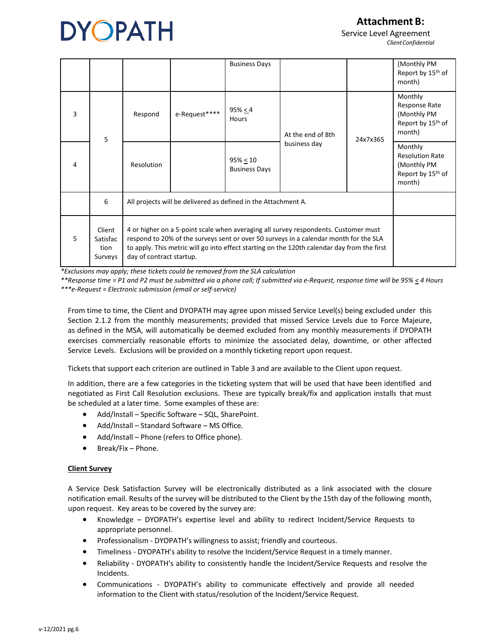**Attachment B:**

Service Level Agreement *ClientConfidential*

|                |                                       |                                                                                                                                                                                                                                                                                                         |               | <b>Business Days</b>             |                                   |          | (Monthly PM<br>Report by 15 <sup>th</sup> of<br>month)                                      |
|----------------|---------------------------------------|---------------------------------------------------------------------------------------------------------------------------------------------------------------------------------------------------------------------------------------------------------------------------------------------------------|---------------|----------------------------------|-----------------------------------|----------|---------------------------------------------------------------------------------------------|
| 3              | 5                                     | Respond                                                                                                                                                                                                                                                                                                 | e-Request**** | 95% < 4<br>Hours                 | At the end of 8th<br>business day | 24x7x365 | Monthly<br>Response Rate<br>(Monthly PM<br>Report by 15 <sup>th</sup> of<br>month)          |
| $\overline{4}$ |                                       | Resolution                                                                                                                                                                                                                                                                                              |               | 95% < 10<br><b>Business Days</b> |                                   |          | Monthly<br><b>Resolution Rate</b><br>(Monthly PM<br>Report by 15 <sup>th</sup> of<br>month) |
|                | 6                                     | All projects will be delivered as defined in the Attachment A.                                                                                                                                                                                                                                          |               |                                  |                                   |          |                                                                                             |
| 5              | Client<br>Satisfac<br>tion<br>Surveys | 4 or higher on a 5-point scale when averaging all survey respondents. Customer must<br>respond to 20% of the surveys sent or over 50 surveys in a calendar month for the SLA<br>to apply. This metric will go into effect starting on the 120th calendar day from the first<br>day of contract startup. |               |                                  |                                   |          |                                                                                             |

*\*Exclusions may apply; these tickets could be removed from the SLA calculation*

*\*\*Response time = P1 and P2 must be submitted via a phone call; If submitted via e-Request, response time will be 95% < 4 Hours \*\*\*e-Request = Electronic submission (email or self-service)*

From time to time, the Client and DYOPATH may agree upon missed Service Level(s) being excluded under this Section 2.1.2 from the monthly measurements; provided that missed Service Levels due to Force Majeure, as defined in the MSA, will automatically be deemed excluded from any monthly measurements if DYOPATH exercises commercially reasonable efforts to minimize the associated delay, downtime, or other affected Service Levels. Exclusions will be provided on a monthly ticketing report upon request.

Tickets that support each criterion are outlined in Table 3 and are available to the Client upon request.

In addition, there are a few categories in the ticketing system that will be used that have been identified and negotiated as First Call Resolution exclusions. These are typically break/fix and application installs that must be scheduled at a later time. Some examples of these are:

- Add/Install Specific Software SQL, SharePoint.
- Add/Install Standard Software MS Office.
- Add/Install Phone (refers to Office phone).
- Break/Fix Phone.

### **Client Survey**

A Service Desk Satisfaction Survey will be electronically distributed as a link associated with the closure notification email. Results of the survey will be distributed to the Client by the 15th day of the following month, upon request. Key areas to be covered by the survey are:

- Knowledge DYOPATH's expertise level and ability to redirect Incident/Service Requests to appropriate personnel.
- Professionalism DYOPATH's willingness to assist; friendly and courteous.
- Timeliness DYOPATH's ability to resolve the Incident/Service Request in a timely manner.
- Reliability DYOPATH's ability to consistently handle the Incident/Service Requests and resolve the Incidents.
- Communications DYOPATH's ability to communicate effectively and provide all needed information to the Client with status/resolution of the Incident/Service Request.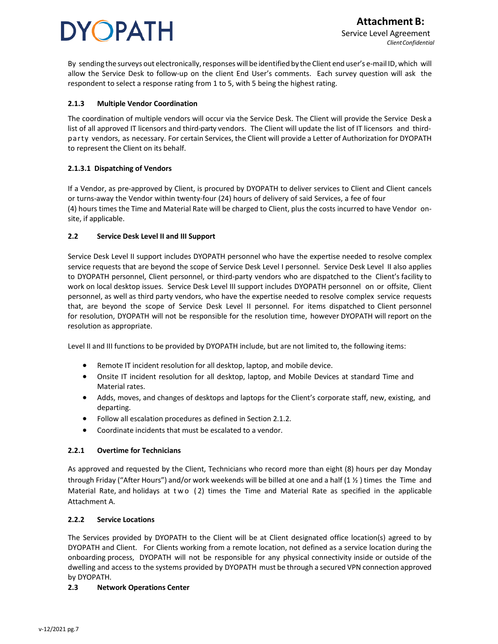By sending the surveys out electronically, responses will be identified by the Client end user's e-mail ID, which will allow the Service Desk to follow-up on the client End User's comments. Each survey question will ask the respondent to select a response rating from 1 to 5, with 5 being the highest rating.

### **2.1.3 Multiple Vendor Coordination**

The coordination of multiple vendors will occur via the Service Desk. The Client will provide the Service Desk a list of all approved IT licensors and third-party vendors. The Client will update the list of IT licensors and thirdparty vendors, as necessary. For certain Services, the Client will provide a Letter of Authorization for DYOPATH to represent the Client on its behalf.

### **2.1.3.1 Dispatching of Vendors**

If a Vendor, as pre-approved by Client, is procured by DYOPATH to deliver services to Client and Client cancels or turns-away the Vendor within twenty-four (24) hours of delivery of said Services, a fee of four (4) hours times the Time and Material Rate will be charged to Client, plus the costs incurred to have Vendor onsite, if applicable.

### **2.2 Service Desk Level II and III Support**

Service Desk Level II support includes DYOPATH personnel who have the expertise needed to resolve complex service requests that are beyond the scope of Service Desk Level I personnel. Service Desk Level II also applies to DYOPATH personnel, Client personnel, or third-party vendors who are dispatched to the Client's facility to work on local desktop issues. Service Desk Level III support includes DYOPATH personnel on or offsite, Client personnel, as well as third party vendors, who have the expertise needed to resolve complex service requests that, are beyond the scope of Service Desk Level II personnel. For items dispatched to Client personnel for resolution, DYOPATH will not be responsible for the resolution time, however DYOPATH will report on the resolution as appropriate.

Level II and III functions to be provided by DYOPATH include, but are not limited to, the following items:

- Remote IT incident resolution for all desktop, laptop, and mobile device.
- Onsite IT incident resolution for all desktop, laptop, and Mobile Devices at standard Time and Material rates.
- Adds, moves, and changes of desktops and laptops for the Client's corporate staff, new, existing, and departing.
- Follow all escalation procedures as defined in Section 2.1.2.
- Coordinate incidents that must be escalated to a vendor.

### **2.2.1 Overtime for Technicians**

As approved and requested by the Client, Technicians who record more than eight (8) hours per day Monday through Friday ("After Hours") and/or work weekends will be billed at one and a half (1 ½ ) times the Time and Material Rate, and holidays at two ( 2) times the Time and Material Rate as specified in the applicable Attachment A.

### **2.2.2 Service Locations**

The Services provided by DYOPATH to the Client will be at Client designated office location(s) agreed to by DYOPATH and Client. For Clients working from a remote location, not defined as a service location during the onboarding process, DYOPATH will not be responsible for any physical connectivity inside or outside of the dwelling and access to the systems provided by DYOPATH must be through a secured VPN connection approved by DYOPATH.

### **2.3 Network Operations Center**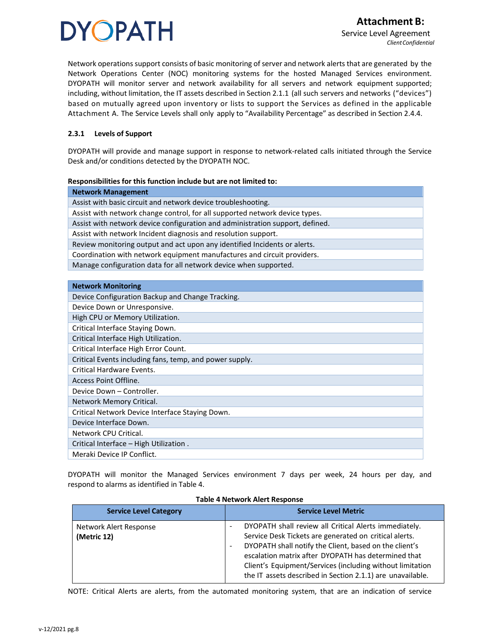Network operations support consists of basic monitoring of server and network alerts that are generated by the Network Operations Center (NOC) monitoring systems for the hosted Managed Services environment. DYOPATH will monitor server and network availability for all servers and network equipment supported; including, without limitation, the IT assets described in Section 2.1.1 (all such servers and networks ("devices") based on mutually agreed upon inventory or lists to support the Services as defined in the applicable Attachment A. The Service Levels shall only apply to "Availability Percentage" as described in Section 2.4.4.

### **2.3.1 Levels of Support**

DYOPATH will provide and manage support in response to network-related calls initiated through the Service Desk and/or conditions detected by the DYOPATH NOC.

#### **Responsibilities for this function include but are not limited to:**

| <b>Network Management</b>                                                     |  |  |
|-------------------------------------------------------------------------------|--|--|
| Assist with basic circuit and network device troubleshooting.                 |  |  |
| Assist with network change control, for all supported network device types.   |  |  |
| Assist with network device configuration and administration support, defined. |  |  |
| Assist with network Incident diagnosis and resolution support.                |  |  |
| Review monitoring output and act upon any identified Incidents or alerts.     |  |  |
| Coordination with network equipment manufactures and circuit providers.       |  |  |
| Manage configuration data for all network device when supported.              |  |  |
|                                                                               |  |  |
| <b>Network Monitoring</b>                                                     |  |  |
|                                                                               |  |  |

| Device Configuration Backup and Change Tracking.        |
|---------------------------------------------------------|
| Device Down or Unresponsive.                            |
| High CPU or Memory Utilization.                         |
| Critical Interface Staying Down.                        |
| Critical Interface High Utilization.                    |
| Critical Interface High Error Count.                    |
| Critical Events including fans, temp, and power supply. |
| Critical Hardware Events.                               |
| Access Point Offline.                                   |
| Device Down - Controller.                               |
| Network Memory Critical.                                |
| Critical Network Device Interface Staying Down.         |
| Device Interface Down.                                  |
| Network CPU Critical.                                   |
| Critical Interface - High Utilization.                  |
| Meraki Device IP Conflict.                              |

DYOPATH will monitor the Managed Services environment 7 days per week, 24 hours per day, and respond to alarms as identified in Table 4.

| <b>Service Level Category</b>         | <b>Service Level Metric</b>                                                                                                                                                                                                                                                                                                                                 |  |
|---------------------------------------|-------------------------------------------------------------------------------------------------------------------------------------------------------------------------------------------------------------------------------------------------------------------------------------------------------------------------------------------------------------|--|
| Network Alert Response<br>(Metric 12) | DYOPATH shall review all Critical Alerts immediately.<br>Service Desk Tickets are generated on critical alerts.<br>DYOPATH shall notify the Client, based on the client's<br>escalation matrix after DYOPATH has determined that<br>Client's Equipment/Services (including without limitation<br>the IT assets described in Section 2.1.1) are unavailable. |  |

#### **Table 4 Network Alert Response**

NOTE: Critical Alerts are alerts, from the automated monitoring system, that are an indication of service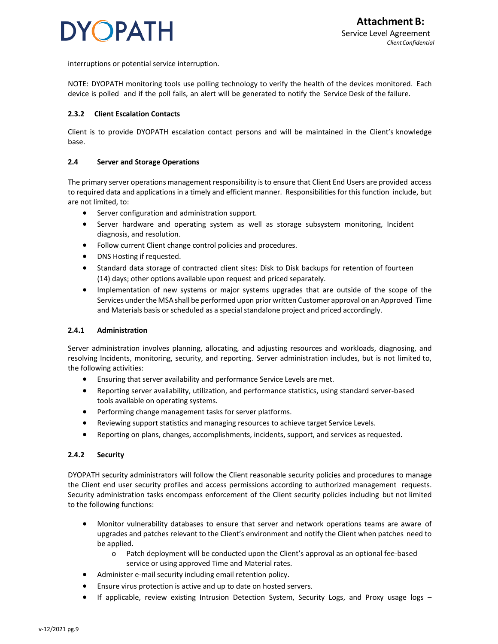

interruptions or potential service interruption.

NOTE: DYOPATH monitoring tools use polling technology to verify the health of the devices monitored. Each device is polled and if the poll fails, an alert will be generated to notify the Service Desk of the failure.

### **2.3.2 Client Escalation Contacts**

Client is to provide DYOPATH escalation contact persons and will be maintained in the Client's knowledge base.

### **2.4 Server and Storage Operations**

The primary server operations management responsibility is to ensure that Client End Users are provided access to required data and applications in a timely and efficient manner. Responsibilities for thisfunction include, but are not limited, to:

- Server configuration and administration support.
- Server hardware and operating system as well as storage subsystem monitoring, Incident diagnosis, and resolution.
- Follow current Client change control policies and procedures.
- DNS Hosting if requested.
- Standard data storage of contracted client sites: Disk to Disk backups for retention of fourteen (14) days; other options available upon request and priced separately.
- Implementation of new systems or major systems upgrades that are outside of the scope of the Services underthe MSAshall be performed upon prior written Customer approval on an Approved Time and Materials basis or scheduled as a special standalone project and priced accordingly.

#### **2.4.1 Administration**

Server administration involves planning, allocating, and adjusting resources and workloads, diagnosing, and resolving Incidents, monitoring, security, and reporting. Server administration includes, but is not limited to, the following activities:

- Ensuring that server availability and performance Service Levels are met.
- Reporting server availability, utilization, and performance statistics, using standard server-based tools available on operating systems.
- Performing change management tasks for server platforms.
- Reviewing support statistics and managing resources to achieve target Service Levels.
- Reporting on plans, changes, accomplishments, incidents, support, and services as requested.

### **2.4.2 Security**

DYOPATH security administrators will follow the Client reasonable security policies and procedures to manage the Client end user security profiles and access permissions according to authorized management requests. Security administration tasks encompass enforcement of the Client security policies including but not limited to the following functions:

- Monitor vulnerability databases to ensure that server and network operations teams are aware of upgrades and patches relevant to the Client's environment and notify the Client when patches need to be applied.
	- o Patch deployment will be conducted upon the Client's approval as an optional fee-based service or using approved Time and Material rates.
- Administer e-mail security including email retention policy.
- Ensure virus protection is active and up to date on hosted servers.
- If applicable, review existing Intrusion Detection System, Security Logs, and Proxy usage logs –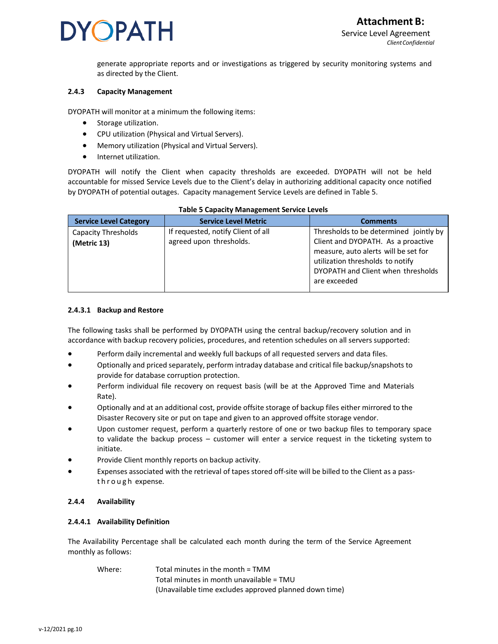generate appropriate reports and or investigations as triggered by security monitoring systems and as directed by the Client.

### **2.4.3 Capacity Management**

DYOPATH will monitor at a minimum the following items:

- Storage utilization.
- CPU utilization (Physical and Virtual Servers).
- Memory utilization (Physical and Virtual Servers).
- Internet utilization.

DYOPATH will notify the Client when capacity thresholds are exceeded. DYOPATH will not be held accountable for missed Service Levels due to the Client's delay in authorizing additional capacity once notified by DYOPATH of potential outages. Capacity management Service Levels are defined in Table 5.

| <b>Service Level Category</b>             | <b>Service Level Metric</b>                                   | <b>Comments</b>                                                                                                      |  |  |
|-------------------------------------------|---------------------------------------------------------------|----------------------------------------------------------------------------------------------------------------------|--|--|
| <b>Capacity Thresholds</b><br>(Metric 13) | If requested, notify Client of all<br>agreed upon thresholds. | Thresholds to be determined jointly by<br>Client and DYOPATH. As a proactive<br>measure, auto alerts will be set for |  |  |
|                                           |                                                               | utilization thresholds to notify<br>DYOPATH and Client when thresholds<br>are exceeded                               |  |  |

### **Table 5 Capacity Management Service Levels**

### **2.4.3.1 Backup and Restore**

The following tasks shall be performed by DYOPATH using the central backup/recovery solution and in accordance with backup recovery policies, procedures, and retention schedules on all servers supported:

- Perform daily incremental and weekly full backups of all requested servers and data files.
- Optionally and priced separately, perform intraday database and critical file backup/snapshots to provide for database corruption protection.
- Perform individual file recovery on request basis (will be at the Approved Time and Materials Rate).
- Optionally and at an additional cost, provide offsite storage of backup files either mirrored to the Disaster Recovery site or put on tape and given to an approved offsite storage vendor.
- Upon customer request, perform a quarterly restore of one or two backup files to temporary space to validate the backup process – customer will enter a service request in the ticketing system to initiate.
- Provide Client monthly reports on backup activity.
- Expenses associated with the retrieval of tapes stored off-site will be billed to the Client as a passthrough expense.

### **2.4.4 Availability**

### **2.4.4.1 Availability Definition**

The Availability Percentage shall be calculated each month during the term of the Service Agreement monthly as follows:

Where: Total minutes in the month = TMM Total minutes in month unavailable = TMU (Unavailable time excludes approved planned down time)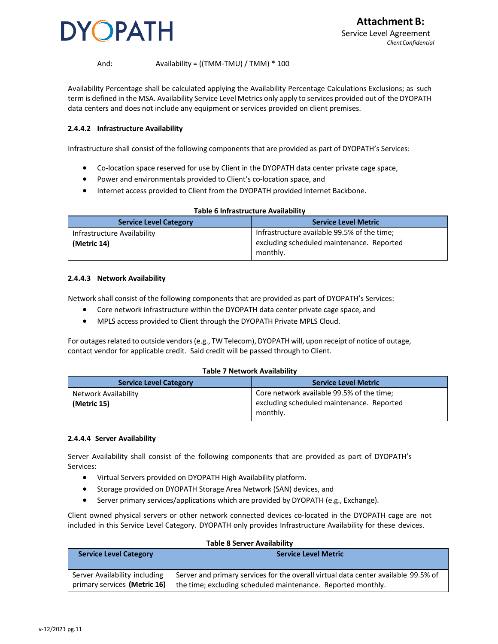

### And: Availability = ((TMM-TMU) / TMM) \* 100

Availability Percentage shall be calculated applying the Availability Percentage Calculations Exclusions; as such term is defined in the MSA. Availability Service Level Metrics only apply to services provided out of the DYOPATH data centers and does not include any equipment or services provided on client premises.

### **2.4.4.2 Infrastructure Availability**

Infrastructure shall consist of the following components that are provided as part of DYOPATH's Services:

- Co-location space reserved for use by Client in the DYOPATH data center private cage space,
- Power and environmentals provided to Client's co-location space, and
- Internet access provided to Client from the DYOPATH provided Internet Backbone.

| Table 6 Initiastructure Availability |                                             |  |  |  |
|--------------------------------------|---------------------------------------------|--|--|--|
| <b>Service Level Category</b>        | <b>Service Level Metric</b>                 |  |  |  |
| Infrastructure Availability          | Infrastructure available 99.5% of the time; |  |  |  |
| (Metric 14)                          | excluding scheduled maintenance. Reported   |  |  |  |
|                                      | monthly.                                    |  |  |  |

**Table 6 Infrastructure Availability**

### **2.4.4.3 Network Availability**

Network shall consist of the following components that are provided as part of DYOPATH's Services:

- Core network infrastructure within the DYOPATH data center private cage space, and
- MPLS access provided to Client through the DYOPATH Private MPLS Cloud.

For outages related to outside vendors (e.g., TW Telecom), DYOPATH will, upon receipt of notice of outage, contact vendor for applicable credit. Said credit will be passed through to Client.

#### **Table 7 Network Availability**

| <b>Service Level Category</b>       | <b>Service Level Metric</b>                                                                        |
|-------------------------------------|----------------------------------------------------------------------------------------------------|
| Network Availability<br>(Metric 15) | Core network available 99.5% of the time;<br>excluding scheduled maintenance. Reported<br>monthly. |

#### **2.4.4.4 Server Availability**

Server Availability shall consist of the following components that are provided as part of DYOPATH's Services:

- Virtual Servers provided on DYOPATH High Availability platform.
- Storage provided on DYOPATH Storage Area Network (SAN) devices, and
- Server primary services/applications which are provided by DYOPATH (e.g., Exchange).

Client owned physical servers or other network connected devices co-located in the DYOPATH cage are not included in this Service Level Category. DYOPATH only provides Infrastructure Availability for these devices.

| <b>Service Level Category</b> | <b>Service Level Metric</b>                                                        |  |
|-------------------------------|------------------------------------------------------------------------------------|--|
| Server Availability including | Server and primary services for the overall virtual data center available 99.5% of |  |
| primary services (Metric 16)  | the time; excluding scheduled maintenance. Reported monthly.                       |  |

#### **Table 8 Server Availability**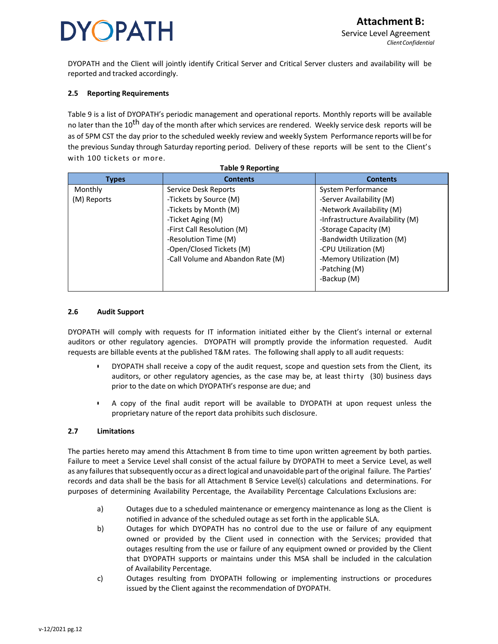DYOPATH and the Client will jointly identify Critical Server and Critical Server clusters and availability will be reported and tracked accordingly.

### **2.5 Reporting Requirements**

Table 9 is a list of DYOPATH's periodic management and operational reports. Monthly reports will be available no later than the 10<sup>th</sup> day of the month after which services are rendered. Weekly service desk reports will be as of 5PM CST the day prior to the scheduled weekly review and weekly System Performance reports will be for the previous Sunday through Saturday reporting period. Delivery of these reports will be sent to the Client's with 100 tickets or more. **Table 9 Reporting**

| Table 9 Reporting |                                   |                                  |  |  |  |
|-------------------|-----------------------------------|----------------------------------|--|--|--|
| <b>Types</b>      | <b>Contents</b>                   | <b>Contents</b>                  |  |  |  |
| Monthly           | Service Desk Reports              | System Performance               |  |  |  |
| (M) Reports       | -Tickets by Source (M)            | -Server Availability (M)         |  |  |  |
|                   | -Tickets by Month (M)             | -Network Availability (M)        |  |  |  |
|                   | -Ticket Aging (M)                 | -Infrastructure Availability (M) |  |  |  |
|                   | -First Call Resolution (M)        | -Storage Capacity (M)            |  |  |  |
|                   | -Resolution Time (M)              | -Bandwidth Utilization (M)       |  |  |  |
|                   | -Open/Closed Tickets (M)          | -CPU Utilization (M)             |  |  |  |
|                   | -Call Volume and Abandon Rate (M) | -Memory Utilization (M)          |  |  |  |
|                   |                                   | -Patching (M)                    |  |  |  |
|                   |                                   | -Backup (M)                      |  |  |  |
|                   |                                   |                                  |  |  |  |

### **2.6 Audit Support**

DYOPATH will comply with requests for IT information initiated either by the Client's internal or external auditors or other regulatory agencies. DYOPATH will promptly provide the information requested. Audit requests are billable events at the published T&M rates. The following shall apply to all audit requests:

- DYOPATH shall receive a copy of the audit request, scope and question sets from the Client, its auditors, or other regulatory agencies, as the case may be, at least thirty (30) business days prior to the date on which DYOPATH's response are due; and
- A copy of the final audit report will be available to DYOPATH at upon request unless the proprietary nature of the report data prohibits such disclosure.

### **2.7 Limitations**

The parties hereto may amend this Attachment B from time to time upon written agreement by both parties. Failure to meet a Service Level shall consist of the actual failure by DYOPATH to meet a Service Level, as well as any failures that subsequently occur as a direct logical and unavoidable part of the original failure. The Parties' records and data shall be the basis for all Attachment B Service Level(s) calculations and determinations. For purposes of determining Availability Percentage, the Availability Percentage Calculations Exclusions are:

- a) Outages due to a scheduled maintenance or emergency maintenance as long as the Client is notified in advance of the scheduled outage as set forth in the applicable SLA.
- b) Outages for which DYOPATH has no control due to the use or failure of any equipment owned or provided by the Client used in connection with the Services; provided that outages resulting from the use or failure of any equipment owned or provided by the Client that DYOPATH supports or maintains under this MSA shall be included in the calculation of Availability Percentage.
- c) Outages resulting from DYOPATH following or implementing instructions or procedures issued by the Client against the recommendation of DYOPATH.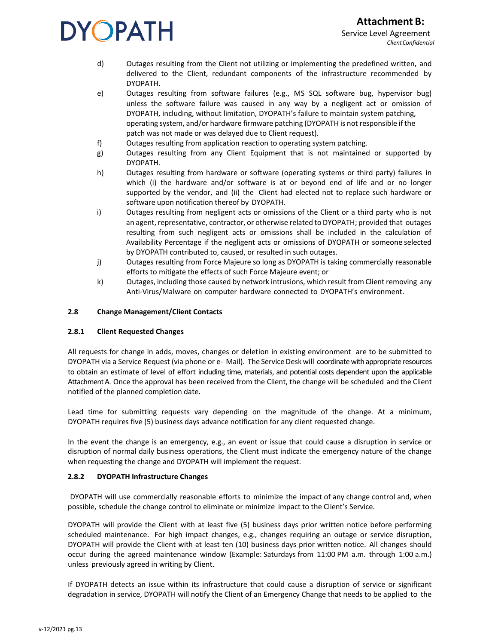- d) Outages resulting from the Client not utilizing or implementing the predefined written, and delivered to the Client, redundant components of the infrastructure recommended by DYOPATH.
- e) Outages resulting from software failures (e.g., MS SQL software bug, hypervisor bug) unless the software failure was caused in any way by a negligent act or omission of DYOPATH, including, without limitation, DYOPATH's failure to maintain system patching, operating system, and/or hardware firmware patching (DYOPATH is not responsible if the patch was not made or was delayed due to Client request).
- f) Outages resulting from application reaction to operating system patching.
- g) Outages resulting from any Client Equipment that is not maintained or supported by DYOPATH.
- h) Outages resulting from hardware or software (operating systems or third party) failures in which (i) the hardware and/or software is at or beyond end of life and or no longer supported by the vendor, and (ii) the Client had elected not to replace such hardware or software upon notification thereof by DYOPATH.
- i) Outages resulting from negligent acts or omissions of the Client or a third party who is not an agent, representative, contractor, or otherwise related to DYOPATH; provided that outages resulting from such negligent acts or omissions shall be included in the calculation of Availability Percentage if the negligent acts or omissions of DYOPATH or someone selected by DYOPATH contributed to, caused, or resulted in such outages.
- j) Outages resulting from Force Majeure so long as DYOPATH is taking commercially reasonable efforts to mitigate the effects of such Force Majeure event; or
- k) Outages, including those caused by network intrusions, which result from Client removing any Anti-Virus/Malware on computer hardware connected to DYOPATH's environment.

### **2.8 Change Management/Client Contacts**

### **2.8.1 Client Requested Changes**

All requests for change in adds, moves, changes or deletion in existing environment are to be submitted to DYOPATH via a Service Request (via phone or e- Mail). The Service Desk will coordinate with appropriate resources to obtain an estimate of level of effort including time, materials, and potential costs dependent upon the applicable Attachment A. Once the approval has been received from the Client, the change will be scheduled and the Client notified of the planned completion date.

Lead time for submitting requests vary depending on the magnitude of the change. At a minimum, DYOPATH requires five (5) business days advance notification for any client requested change.

In the event the change is an emergency, e.g., an event or issue that could cause a disruption in service or disruption of normal daily business operations, the Client must indicate the emergency nature of the change when requesting the change and DYOPATH will implement the request.

### **2.8.2 DYOPATH Infrastructure Changes**

DYOPATH will use commercially reasonable efforts to minimize the impact of any change control and, when possible, schedule the change control to eliminate or minimize impact to the Client's Service.

DYOPATH will provide the Client with at least five (5) business days prior written notice before performing scheduled maintenance. For high impact changes, e.g., changes requiring an outage or service disruption, DYOPATH will provide the Client with at least ten (10) business days prior written notice. All changes should occur during the agreed maintenance window (Example: Saturdays from 11:00 PM a.m. through 1:00 a.m.) unless previously agreed in writing by Client.

If DYOPATH detects an issue within its infrastructure that could cause a disruption of service or significant degradation in service, DYOPATH will notify the Client of an Emergency Change that needs to be applied to the